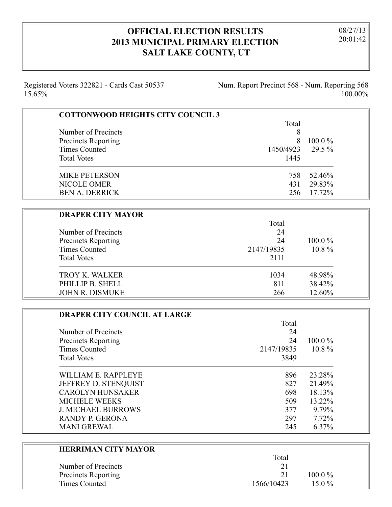## **OFFICIAL ELECTION RESULTS 2013 MUNICIPAL PRIMARY ELECTION SALT LAKE COUNTY, UT**

08/27/13 20:01:42

Registered Voters 322821 - Cards Cast 50537 15.65%

Num. Report Precinct 568 - Num. Reporting 568 100.00%

| <b>COTTONWOOD HEIGHTS CITY COUNCIL 3</b> |            |           |
|------------------------------------------|------------|-----------|
|                                          | Total      |           |
| Number of Precincts                      | 8          |           |
| <b>Precincts Reporting</b>               | 8          | $100.0\%$ |
| <b>Times Counted</b>                     | 1450/4923  | 29.5 %    |
| <b>Total Votes</b>                       | 1445       |           |
| <b>MIKE PETERSON</b>                     | 758        | 52.46%    |
| <b>NICOLE OMER</b>                       | 431        | 29.83%    |
| <b>BEN A. DERRICK</b>                    | 256        | 17.72%    |
|                                          |            |           |
| <b>DRAPER CITY MAYOR</b>                 |            |           |
|                                          | Total      |           |
| Number of Precincts                      | 24         |           |
| <b>Precincts Reporting</b>               | 24         | 100.0%    |
| <b>Times Counted</b>                     | 2147/19835 | 10.8%     |
| <b>Total Votes</b>                       | 2111       |           |
| <b>TROY K. WALKER</b>                    | 1034       | 48.98%    |
| PHILLIP B. SHELL                         | 811        | 38.42%    |
| JOHN R. DISMUKE                          | 266        | 12.60%    |

| <b>DRAPER CITY COUNCIL AT LARGE</b> |            |           |
|-------------------------------------|------------|-----------|
|                                     | Total      |           |
| Number of Precincts                 | 24         |           |
| <b>Precincts Reporting</b>          | 24         | $100.0\%$ |
| Times Counted                       | 2147/19835 | $10.8\%$  |
| <b>Total Votes</b>                  | 3849       |           |
| WILLIAM E. RAPPLEYE                 | 896        | 23.28%    |
| JEFFREY D. STENQUIST                | 827        | 21.49%    |
| <b>CAROLYN HUNSAKER</b>             | 698        | 18.13%    |
| <b>MICHELE WEEKS</b>                | 509        | 13.22%    |
| <b>J. MICHAEL BURROWS</b>           | 377        | 9.79%     |
| RANDY P. GERONA                     | 297        | 7.72%     |
| <b>MANI GREWAL</b>                  | 245        | 6.37%     |

| <b>HERRIMAN CITY MAYOR</b> |            |           |  |
|----------------------------|------------|-----------|--|
|                            | Total      |           |  |
| Number of Precincts        | 21         |           |  |
| <b>Precincts Reporting</b> | 21         | $100.0\%$ |  |
| Times Counted              | 1566/10423 | 15 0 $\%$ |  |
|                            |            |           |  |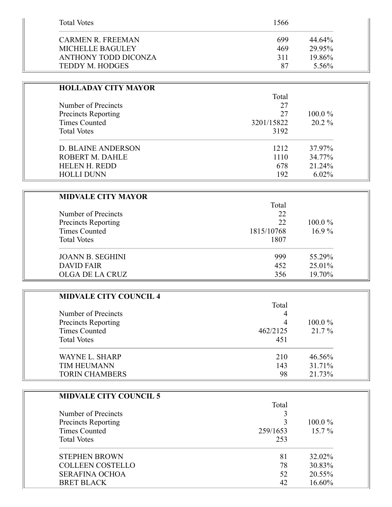| <b>Total Votes</b>     | 1566 |           |
|------------------------|------|-----------|
| CARMEN R. FREEMAN      | 699  | $44.64\%$ |
| MICHELLE BAGULEY       | 469  | 29.95%    |
| ANTHONY TODD DICONZA   | 311  | 19.86%    |
| <b>TEDDY M. HODGES</b> | 87   | 5.56%     |

| <b>HOLLADAY CITY MAYOR</b>                                         |            |           |
|--------------------------------------------------------------------|------------|-----------|
| Number of Precincts<br><b>Precincts Reporting</b><br>Times Counted | Total      |           |
|                                                                    | 27         |           |
|                                                                    | 27         | $100.0\%$ |
|                                                                    | 3201/15822 | $20.2\%$  |
| <b>Total Votes</b>                                                 | 3192       |           |
| <b>D. BLAINE ANDERSON</b>                                          | 1212       | 37.97%    |
| ROBERT M. DAHLE                                                    | 1110       | 34.77%    |
| <b>HELEN H. REDD</b>                                               | 678        | 21.24%    |
| <b>HOLLI DUNN</b>                                                  | 192        | $6.02\%$  |

| <b>MIDVALE CITY MAYOR</b>                         |          |           |
|---------------------------------------------------|----------|-----------|
| Number of Precincts<br><b>Precincts Reporting</b> | Total    |           |
|                                                   | 22<br>22 | $100.0\%$ |
|                                                   |          |           |
| <b>Total Votes</b>                                | 1807     |           |
| <b>JOANN B. SEGHINI</b>                           | 999      | 55.29%    |
| <b>DAVID FAIR</b>                                 | 452      | 25.01%    |
| OLGA DE LA CRUZ                                   | 356      | 19.70%    |

| <b>MIDVALE CITY COUNCIL 4</b>                                                     |                           |                     |                       |     |        |
|-----------------------------------------------------------------------------------|---------------------------|---------------------|-----------------------|-----|--------|
| Number of Precincts<br>Precincts Reporting<br>Times Counted<br><b>Total Votes</b> | Total                     | $100.0\%$<br>21.7 % |                       |     |        |
|                                                                                   | 4<br>4<br>462/2125<br>451 |                     |                       |     |        |
|                                                                                   |                           |                     | WAYNE L. SHARP        | 210 | 46.56% |
|                                                                                   |                           |                     | <b>TIM HEUMANN</b>    | 143 | 31.71% |
|                                                                                   |                           |                     | <b>TORIN CHAMBERS</b> | 98  | 21.73% |

| <b>MIDVALE CITY COUNCIL 5</b>              |          |           |
|--------------------------------------------|----------|-----------|
| Number of Precincts<br>Precincts Reporting | Total    |           |
|                                            |          | $100.0\%$ |
|                                            |          |           |
| <b>Times Counted</b>                       | 259/1653 | $15.7\%$  |
| <b>Total Votes</b>                         | 253      |           |
| <b>STEPHEN BROWN</b>                       | 81       | 32.02%    |
| <b>COLLEEN COSTELLO</b>                    | 78       | 30.83%    |
| <b>SERAFINA OCHOA</b>                      | 52       | 20.55%    |
| <b>BRET BLACK</b>                          | 42       | 16.60%    |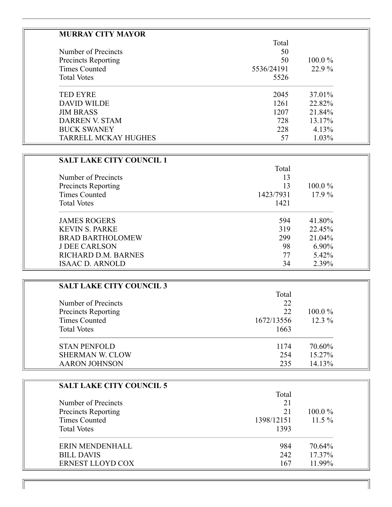| Total      |           |
|------------|-----------|
|            |           |
| 50         |           |
| 50         | $100.0\%$ |
| 5536/24191 | 22.9%     |
| 5526       |           |
| 2045       | 37.01%    |
| 1261       | 22.82%    |
| 1207       | 21.84%    |
| 728        | 13.17%    |
| 228        | 4.13%     |
| 57         | 1.03%     |
|            |           |

| <b>SALT LAKE CITY COUNCIL 1</b> |           |           |
|---------------------------------|-----------|-----------|
|                                 | Total     |           |
| Number of Precincts             | 13        |           |
| <b>Precincts Reporting</b>      | 13        | $100.0\%$ |
| Times Counted                   | 1423/7931 | $17.9\%$  |
| <b>Total Votes</b>              | 1421      |           |
| <b>JAMES ROGERS</b>             | 594       | 41.80%    |
| <b>KEVIN S. PARKE</b>           | 319       | 22.45%    |
| <b>BRAD BARTHOLOMEW</b>         | 299       | 21.04%    |
| <b>J DEE CARLSON</b>            | 98        | $6.90\%$  |
| RICHARD D.M. BARNES             | 77        | 5.42%     |
| <b>ISAAC D. ARNOLD</b>          | 34        | 2.39%     |

| <b>SALT LAKE CITY COUNCIL 3</b>            |            |           |
|--------------------------------------------|------------|-----------|
|                                            | Total      |           |
| Number of Precincts<br>Precincts Reporting | 22         |           |
|                                            | 22         | $100.0\%$ |
| <b>Times Counted</b>                       | 1672/13556 | $12.3\%$  |
| <b>Total Votes</b>                         | 1663       |           |
| <b>STAN PENFOLD</b>                        | 1174       | 70.60%    |
| <b>SHERMAN W. CLOW</b>                     | 254        | 15.27%    |
| <b>AARON JOHNSON</b>                       | 235        | 14.13%    |

| <b>SALT LAKE CITY COUNCIL 5</b>                   |            |           |
|---------------------------------------------------|------------|-----------|
|                                                   | Total      |           |
| Number of Precincts<br><b>Precincts Reporting</b> | 21<br>21   |           |
|                                                   |            | $100.0\%$ |
| <b>Times Counted</b>                              | 1398/12151 | $11.5\%$  |
| <b>Total Votes</b>                                | 1393       |           |
| ERIN MENDENHALL                                   | 984        | 70.64%    |
| <b>BILL DAVIS</b>                                 | 242        | 17.37%    |
| <b>ERNEST LLOYD COX</b>                           | 167        | 11.99%    |

 $\blacksquare$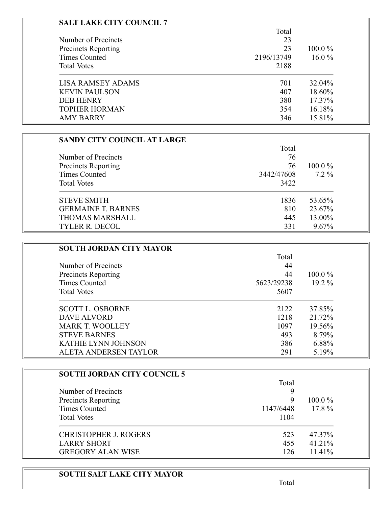## **SALT LAKE CITY COUNCIL 7**

|                            | Total      |           |
|----------------------------|------------|-----------|
| Number of Precincts        | 23         |           |
| <b>Precincts Reporting</b> | 23         | $100.0\%$ |
| Times Counted              | 2196/13749 | $16.0\%$  |
| <b>Total Votes</b>         | 2188       |           |
| <b>LISA RAMSEY ADAMS</b>   | 701        | 32.04%    |
| <b>KEVIN PAULSON</b>       | 407        | 18.60%    |
| <b>DEB HENRY</b>           | 380        | 17.37%    |
| <b>TOPHER HORMAN</b>       | 354        | 16.18%    |
| <b>AMY BARRY</b>           | 346        | 15.81%    |

| <b>SANDY CITY COUNCIL AT LARGE</b> |            |           |
|------------------------------------|------------|-----------|
|                                    | Total      |           |
| Number of Precincts                | 76         |           |
| Precincts Reporting                | 76         | $100.0\%$ |
| <b>Times Counted</b>               | 3442/47608 | $7.2\%$   |
| <b>Total Votes</b>                 | 3422       |           |
| <b>STEVE SMITH</b>                 | 1836       | 53.65%    |
| <b>GERMAINE T. BARNES</b>          | 810        | 23.67%    |
| <b>THOMAS MARSHALL</b>             | 445        | 13.00%    |
| <b>TYLER R. DECOL</b>              | 331        | 9.67%     |

| <b>SOUTH JORDAN CITY MAYOR</b> |            |           |
|--------------------------------|------------|-----------|
|                                | Total      |           |
| Number of Precincts            | 44         |           |
| <b>Precincts Reporting</b>     | 44         | $100.0\%$ |
| Times Counted                  | 5623/29238 | $19.2\%$  |
| <b>Total Votes</b>             | 5607       |           |
| <b>SCOTT L. OSBORNE</b>        | 2122       | 37.85%    |
| DAVE ALVORD                    | 1218       | 21.72%    |
| <b>MARK T. WOOLLEY</b>         | 1097       | 19.56%    |
| <b>STEVE BARNES</b>            | 493        | 8.79%     |
| <b>KATHIE LYNN JOHNSON</b>     | 386        | 6.88%     |
| ALETA ANDERSEN TAYLOR          | 291        | 5.19%     |

| <b>SOUTH JORDAN CITY COUNCIL 5</b> |           |           |
|------------------------------------|-----------|-----------|
|                                    | Total     |           |
| Number of Precincts                |           |           |
| Precincts Reporting                | 9         | $100.0\%$ |
| <b>Times Counted</b>               | 1147/6448 | $17.8\%$  |
| <b>Total Votes</b>                 | 1104      |           |
| <b>CHRISTOPHER J. ROGERS</b>       | 523       | 47.37%    |
| <b>LARRY SHORT</b>                 | 455       | 41.21%    |
| <b>GREGORY ALAN WISE</b>           | 126       | 11.41%    |

## **SOUTH SALT LAKE CITY MAYOR**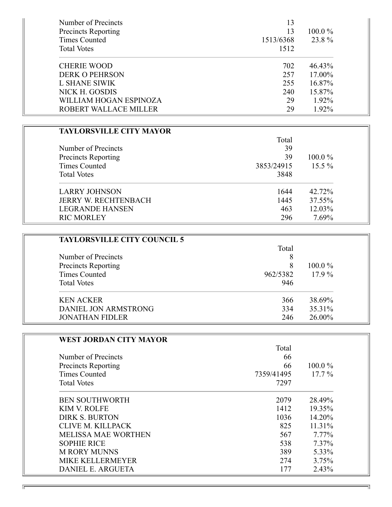| Number of Precincts    | 13        |           |
|------------------------|-----------|-----------|
| Precincts Reporting    | 13        | $100.0\%$ |
| <b>Times Counted</b>   | 1513/6368 | 23.8%     |
| <b>Total Votes</b>     | 1512      |           |
| <b>CHERIE WOOD</b>     | 702       | 46.43%    |
| <b>DERK O PEHRSON</b>  | 257       | 17.00%    |
| <b>L SHANE SIWIK</b>   | 255       | 16.87%    |
| NICK H. GOSDIS         | 240       | 15.87%    |
| WILLIAM HOGAN ESPINOZA | 29        | 1.92%     |
| ROBERT WALLACE MILLER  | 29        | 1.92%     |

| <b>TAYLORSVILLE CITY MAYOR</b> |            |           |
|--------------------------------|------------|-----------|
|                                | Total      |           |
| Number of Precincts            | 39         |           |
| <b>Precincts Reporting</b>     | 39         | $100.0\%$ |
| Times Counted                  | 3853/24915 | $15.5\%$  |
| <b>Total Votes</b>             | 3848       |           |
| <b>LARRY JOHNSON</b>           | 1644       | 42.72%    |
| <b>JERRY W. RECHTENBACH</b>    | 1445       | 37.55%    |
| <b>LEGRANDE HANSEN</b>         | 463        | 12.03%    |
| <b>RIC MORLEY</b>              | 296        | 7.69%     |

| <b>TAYLORSVILLE CITY COUNCIL 5</b> |          |           |
|------------------------------------|----------|-----------|
|                                    | Total    |           |
| Number of Precincts                | 8        |           |
| Precincts Reporting                | 8        | $100.0\%$ |
| Times Counted                      | 962/5382 | $17.9\%$  |
| <b>Total Votes</b>                 | 946      |           |
| <b>KEN ACKER</b>                   | 366      | 38.69%    |
| DANIEL JON ARMSTRONG               | 334      | 35.31%    |
| <b>JONATHAN FIDLER</b>             | 246      | 26.00%    |

| <b>WEST JORDAN CITY MAYOR</b> |            |           |
|-------------------------------|------------|-----------|
|                               | Total      |           |
| Number of Precincts           | 66         |           |
| <b>Precincts Reporting</b>    | 66         | $100.0\%$ |
| <b>Times Counted</b>          | 7359/41495 | $17.7\%$  |
| <b>Total Votes</b>            | 7297       |           |
| <b>BEN SOUTHWORTH</b>         | 2079       | 28.49%    |
| <b>KIM V. ROLFE</b>           | 1412       | 19.35%    |
| <b>DIRK S. BURTON</b>         | 1036       | 14.20%    |
| CLIVE M. KILLPACK             | 825        | 11.31%    |
| <b>MELISSA MAE WORTHEN</b>    | 567        | $7.77\%$  |
| <b>SOPHIE RICE</b>            | 538        | 7.37%     |
| <b>M RORY MUNNS</b>           | 389        | 5.33%     |
| MIKE KELLERMEYER              | 274        | 3.75%     |
| <b>DANIEL E. ARGUETA</b>      | 177        | 2.43%     |

╗

 $\overline{\mathbb{F}}$